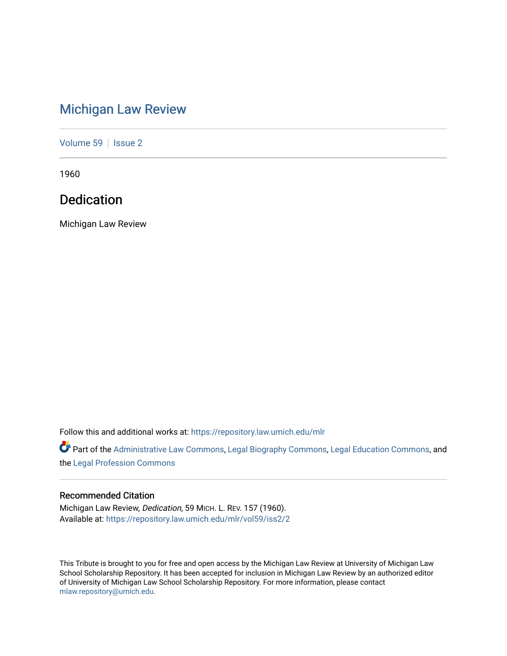## [Michigan Law Review](https://repository.law.umich.edu/mlr)

[Volume 59](https://repository.law.umich.edu/mlr/vol59) | [Issue 2](https://repository.law.umich.edu/mlr/vol59/iss2)

1960

## Dedication

Michigan Law Review

Follow this and additional works at: [https://repository.law.umich.edu/mlr](https://repository.law.umich.edu/mlr?utm_source=repository.law.umich.edu%2Fmlr%2Fvol59%2Fiss2%2F2&utm_medium=PDF&utm_campaign=PDFCoverPages) 

Part of the [Administrative Law Commons,](http://network.bepress.com/hgg/discipline/579?utm_source=repository.law.umich.edu%2Fmlr%2Fvol59%2Fiss2%2F2&utm_medium=PDF&utm_campaign=PDFCoverPages) [Legal Biography Commons,](http://network.bepress.com/hgg/discipline/834?utm_source=repository.law.umich.edu%2Fmlr%2Fvol59%2Fiss2%2F2&utm_medium=PDF&utm_campaign=PDFCoverPages) [Legal Education Commons,](http://network.bepress.com/hgg/discipline/857?utm_source=repository.law.umich.edu%2Fmlr%2Fvol59%2Fiss2%2F2&utm_medium=PDF&utm_campaign=PDFCoverPages) and the [Legal Profession Commons](http://network.bepress.com/hgg/discipline/1075?utm_source=repository.law.umich.edu%2Fmlr%2Fvol59%2Fiss2%2F2&utm_medium=PDF&utm_campaign=PDFCoverPages) 

## Recommended Citation

Michigan Law Review, Dedication, 59 MICH. L. REV. 157 (1960). Available at: [https://repository.law.umich.edu/mlr/vol59/iss2/2](https://repository.law.umich.edu/mlr/vol59/iss2/2?utm_source=repository.law.umich.edu%2Fmlr%2Fvol59%2Fiss2%2F2&utm_medium=PDF&utm_campaign=PDFCoverPages)

This Tribute is brought to you for free and open access by the Michigan Law Review at University of Michigan Law School Scholarship Repository. It has been accepted for inclusion in Michigan Law Review by an authorized editor of University of Michigan Law School Scholarship Repository. For more information, please contact [mlaw.repository@umich.edu.](mailto:mlaw.repository@umich.edu)